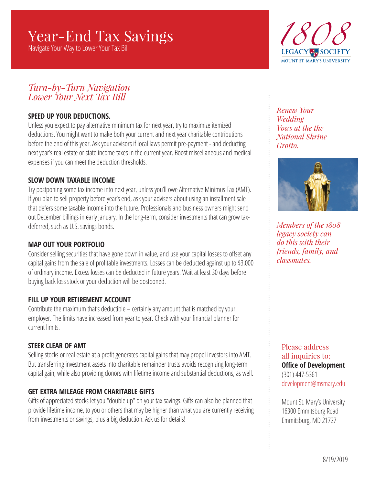# Year-End Tax Savings

Navigate Your Way to Lower Your Tax Bill



### *Turn-by-Turn Navigation Lower Your Next Tax Bill*

#### **SPEED UP YOUR DEDUCTIONS.**

Unless you expect to pay alternative minimum tax for next year, try to maximize itemized deductions. You might want to make both your current and next year charitable contributions before the end of this year. Ask your advisors if local laws permit pre-payment - and deducting next year's real estate or state income taxes in the current year. Boost miscellaneous and medical expenses if you can meet the deduction thresholds.

#### **SLOW DOWN TAXABLE INCOME**

Try postponing some tax income into next year, unless you'll owe Alternative Minimus Tax (AMT). If you plan to sell property before year's end, ask your advisers about using an installment sale that defers some taxable income into the future. Professionals and business owners might send out December billings in early January. In the long-term, consider investments that can grow taxdeferred, such as U.S. savings bonds.

#### **MAP OUT YOUR PORTFOLIO**

Consider selling securities that have gone down in value, and use your capital losses to offset any capital gains from the sale of profitable investments. Losses can be deducted against up to \$3,000 of ordinary income. Excess losses can be deducted in future years. Wait at least 30 days before buying back loss stock or your deduction will be postponed.

#### **FILL UP YOUR RETIREMENT ACCOUNT**

Contribute the maximum that's deductible – certainly any amount that is matched by your employer. The limits have increased from year to year. Check with your financial planner for current limits.

#### **STEER CLEAR OF AMT**

Selling stocks or real estate at a profit generates capital gains that may propel investors into AMT. But transferring investment assets into charitable remainder trusts avoids recognizing long-term capital gain, while also providing donors with lifetime income and substantial deductions, as well.

#### **GET EXTRA MILEAGE FROM CHARITABLE GIFTS**

Gifts of appreciated stocks let you "double up" on your tax savings. Gifts can also be planned that provide lifetime income, to you or others that may be higher than what you are currently receiving from investments or savings, plus a big deduction. Ask us for details!

*Renew Your Wedding Vows at the the National Shrine Grotto.*



*Members of the 1808 legacy society can do this with their friends, family, and classmates.*

Please address all inquiries to: **Office of Development** (301) 447-5361 development@msmary.edu

Mount St. Mary's University 16300 Emmitsburg Road Emmitsburg, MD 21727